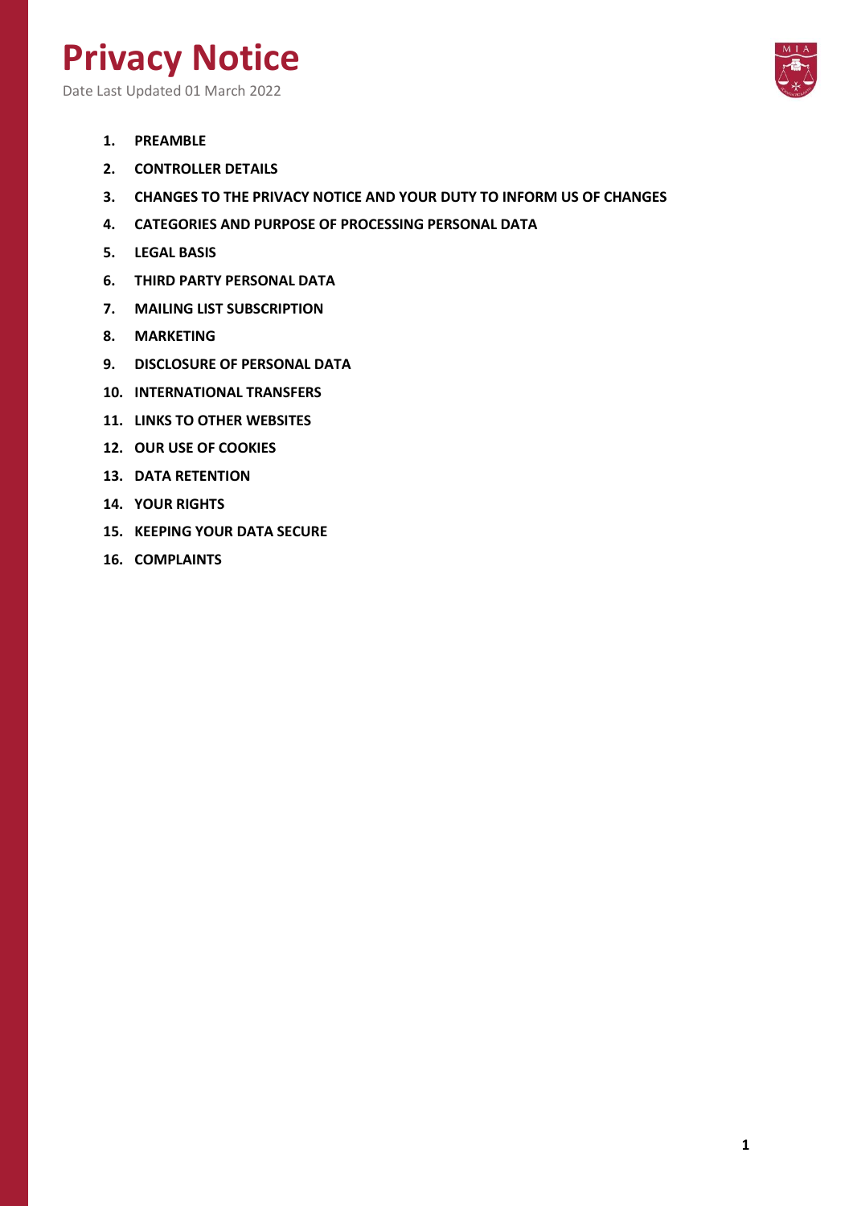Date Last Updated 01 March 2022



- **1. [PREAMBLE](#page-1-0)**
- **2. [CONTROLLER DETAILS](#page-1-1)**
- **3. [CHANGES TO THE PRIVACY NOTICE AND YOUR DUTY TO INFORM US OF CHANGES](#page-1-2)**
- **4. [CATEGORIES AND PURPOSE OF PROCESSING PERSONAL DATA](#page-2-0)**
- **5. [LEGAL BASIS](#page-4-0)**
- **6. [THIRD PARTY PERSONAL DATA](#page-4-1)**
- **7. [MAILING LIST SUBSCRIPTION](#page-5-0)**
- **8. [MARKETING](#page-5-1)**
- **9. [DISCLOSURE OF PERSONAL DATA](#page-5-2)**
- **10. [INTERNATIONAL TRANSFERS](#page-7-0)**
- **11. [LINKS TO OTHER WEBSITES](#page-7-1)**
- **12. [OUR USE OF COOKIES](#page-7-2)**
- **13. [DATA RETENTION](#page-8-0)**
- **14. [YOUR RIGHTS](#page-9-0)**
- **15. [KEEPING YOUR DATA SECURE](#page-10-0)**
- **16. [COMPLAINTS](#page-10-1)**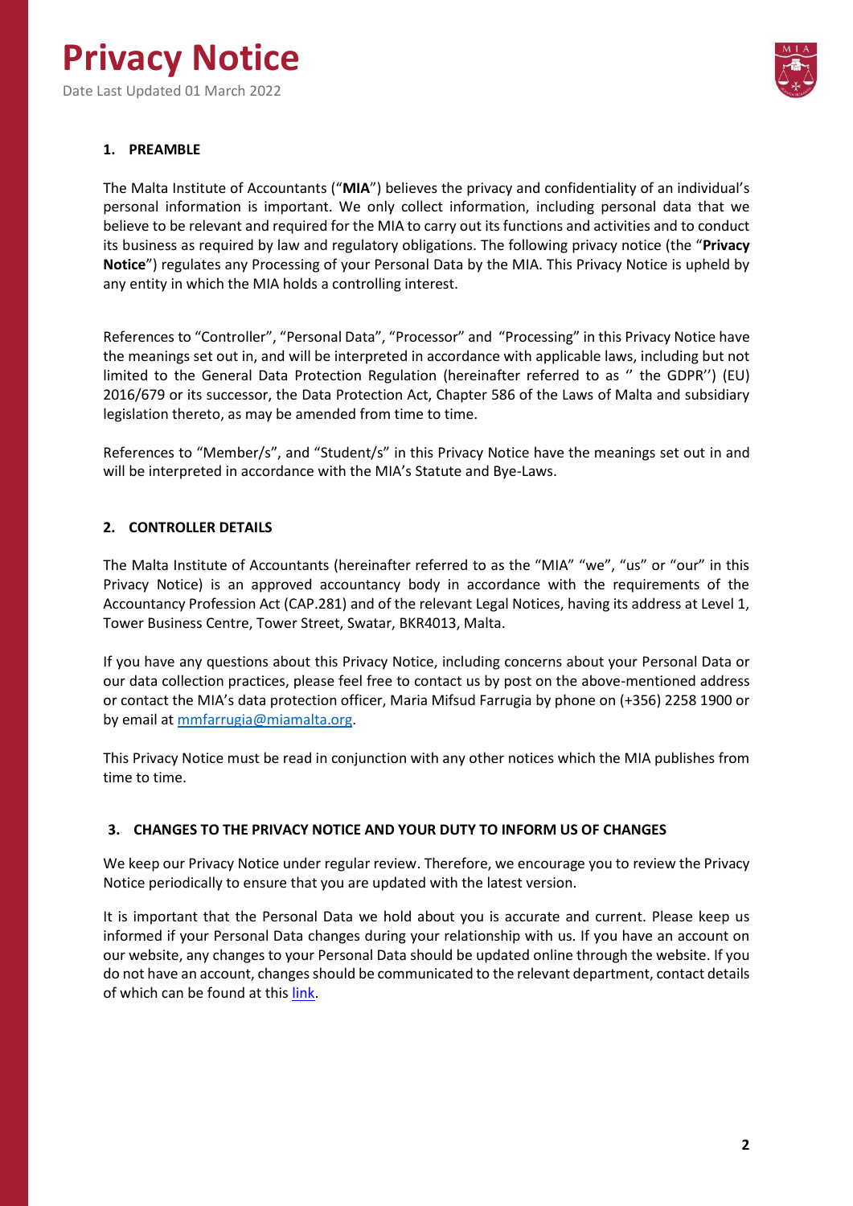Date Last Updated 01 March 2022



## <span id="page-1-0"></span>**1. PREAMBLE**

The Malta Institute of Accountants ("**MIA**") believes the privacy and confidentiality of an individual's personal information is important. We only collect information, including personal data that we believe to be relevant and required for the MIA to carry out its functions and activities and to conduct its business as required by law and regulatory obligations. The following privacy notice (the "**Privacy Notice**") regulates any Processing of your Personal Data by the MIA. This Privacy Notice is upheld by any entity in which the MIA holds a controlling interest.

References to "Controller", "Personal Data", "Processor" and "Processing" in this Privacy Notice have the meanings set out in, and will be interpreted in accordance with applicable laws, including but not limited to the General Data Protection Regulation (hereinafter referred to as '' the GDPR'') (EU) 2016/679 or its successor, the Data Protection Act, Chapter 586 of the Laws of Malta and subsidiary legislation thereto, as may be amended from time to time.

References to "Member/s", and "Student/s" in this Privacy Notice have the meanings set out in and will be interpreted in accordance with the MIA's Statute and Bye-Laws.

### <span id="page-1-1"></span>**2. CONTROLLER DETAILS**

The Malta Institute of Accountants (hereinafter referred to as the "MIA" "we", "us" or "our" in this Privacy Notice) is an approved accountancy body in accordance with the requirements of the Accountancy Profession Act (CAP.281) and of the relevant Legal Notices, having its address at Level 1, Tower Business Centre, Tower Street, Swatar, BKR4013, Malta.

If you have any questions about this Privacy Notice, including concerns about your Personal Data or our data collection practices, please feel free to contact us by post on the above-mentioned address or contact the MIA's data protection officer, Maria Mifsud Farrugia by phone on (+356) 2258 1900 or by email at [mmfarrugia@miamalta.org.](mailto:mmfarrugia@miamalta.org)

This Privacy Notice must be read in conjunction with any other notices which the MIA publishes from time to time.

#### <span id="page-1-2"></span>**3. CHANGES TO THE PRIVACY NOTICE AND YOUR DUTY TO INFORM US OF CHANGES**

We keep our Privacy Notice under regular review. Therefore, we encourage you to review the Privacy Notice periodically to ensure that you are updated with the latest version.

It is important that the Personal Data we hold about you is accurate and current. Please keep us informed if your Personal Data changes during your relationship with us. If you have an account on our website, any changes to your Personal Data should be updated online through the website. If you do not have an account, changes should be communicated to the relevant department, contact details of which can be found at this [link.](https://www.miamalta.org/contact)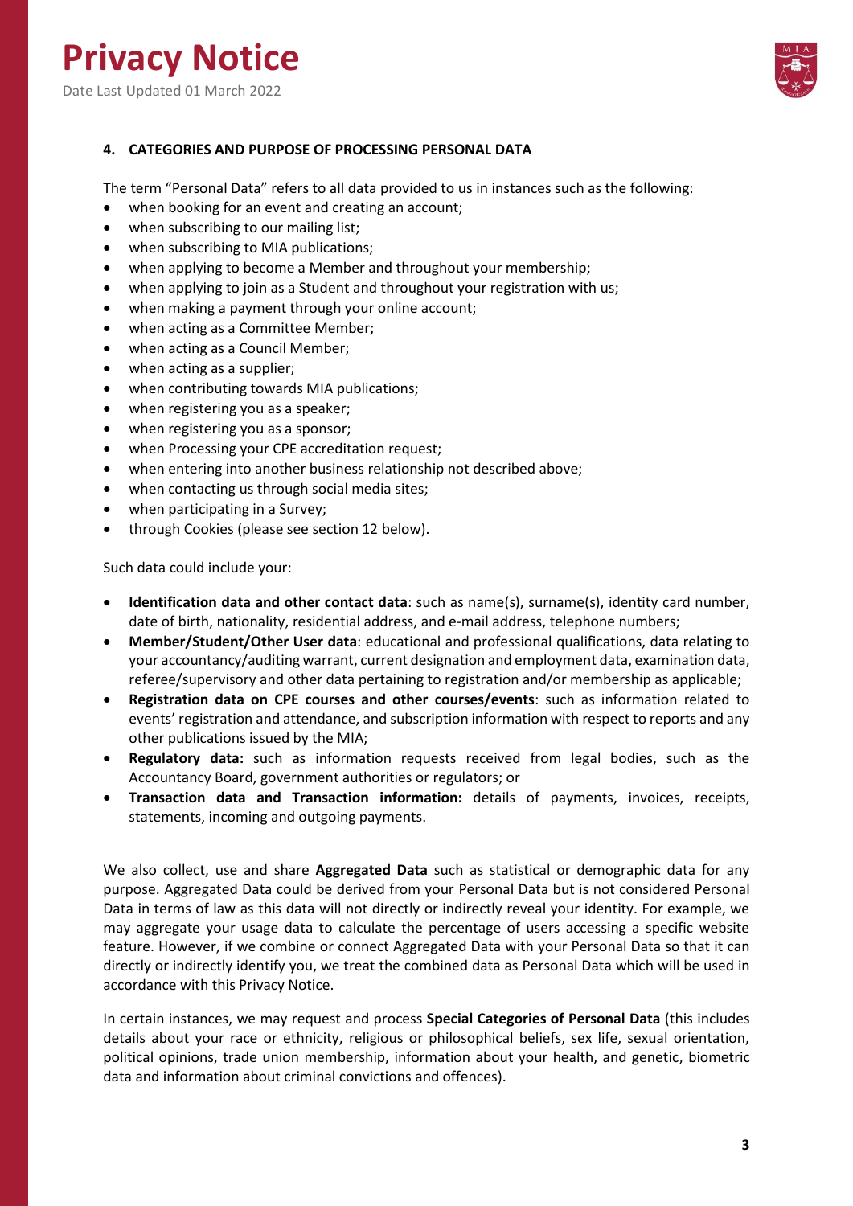Date Last Updated 01 March 2022



### <span id="page-2-0"></span>**4. CATEGORIES AND PURPOSE OF PROCESSING PERSONAL DATA**

The term "Personal Data" refers to all data provided to us in instances such as the following:

- when booking for an event and creating an account;
- when subscribing to our mailing list;
- when subscribing to MIA publications;
- when applying to become a Member and throughout your membership;
- when applying to join as a Student and throughout your registration with us;
- when making a payment through your online account;
- when acting as a Committee Member;
- when acting as a Council Member;
- when acting as a supplier;
- when contributing towards MIA publications;
- when registering you as a speaker;
- when registering you as a sponsor;
- when Processing your CPE accreditation request;
- when entering into another business relationship not described above;
- when contacting us through social media sites;
- when participating in a Survey;
- through Cookies (please see section 12 below).

Such data could include your:

- **Identification data and other contact data**: such as name(s), surname(s), identity card number, date of birth, nationality, residential address, and e-mail address, telephone numbers;
- **Member/Student/Other User data**: educational and professional qualifications, data relating to your accountancy/auditing warrant, current designation and employment data, examination data, referee/supervisory and other data pertaining to registration and/or membership as applicable;
- **Registration data on CPE courses and other courses/events**: such as information related to events' registration and attendance, and subscription information with respect to reports and any other publications issued by the MIA;
- **Regulatory data:** such as information requests received from legal bodies, such as the Accountancy Board, government authorities or regulators; or
- **Transaction data and Transaction information:** details of payments, invoices, receipts, statements, incoming and outgoing payments.

We also collect, use and share **Aggregated Data** such as statistical or demographic data for any purpose. Aggregated Data could be derived from your Personal Data but is not considered Personal Data in terms of law as this data will not directly or indirectly reveal your identity. For example, we may aggregate your usage data to calculate the percentage of users accessing a specific website feature. However, if we combine or connect Aggregated Data with your Personal Data so that it can directly or indirectly identify you, we treat the combined data as Personal Data which will be used in accordance with this Privacy Notice.

In certain instances, we may request and process **Special Categories of Personal Data** (this includes details about your race or ethnicity, religious or philosophical beliefs, sex life, sexual orientation, political opinions, trade union membership, information about your health, and genetic, biometric data and information about criminal convictions and offences).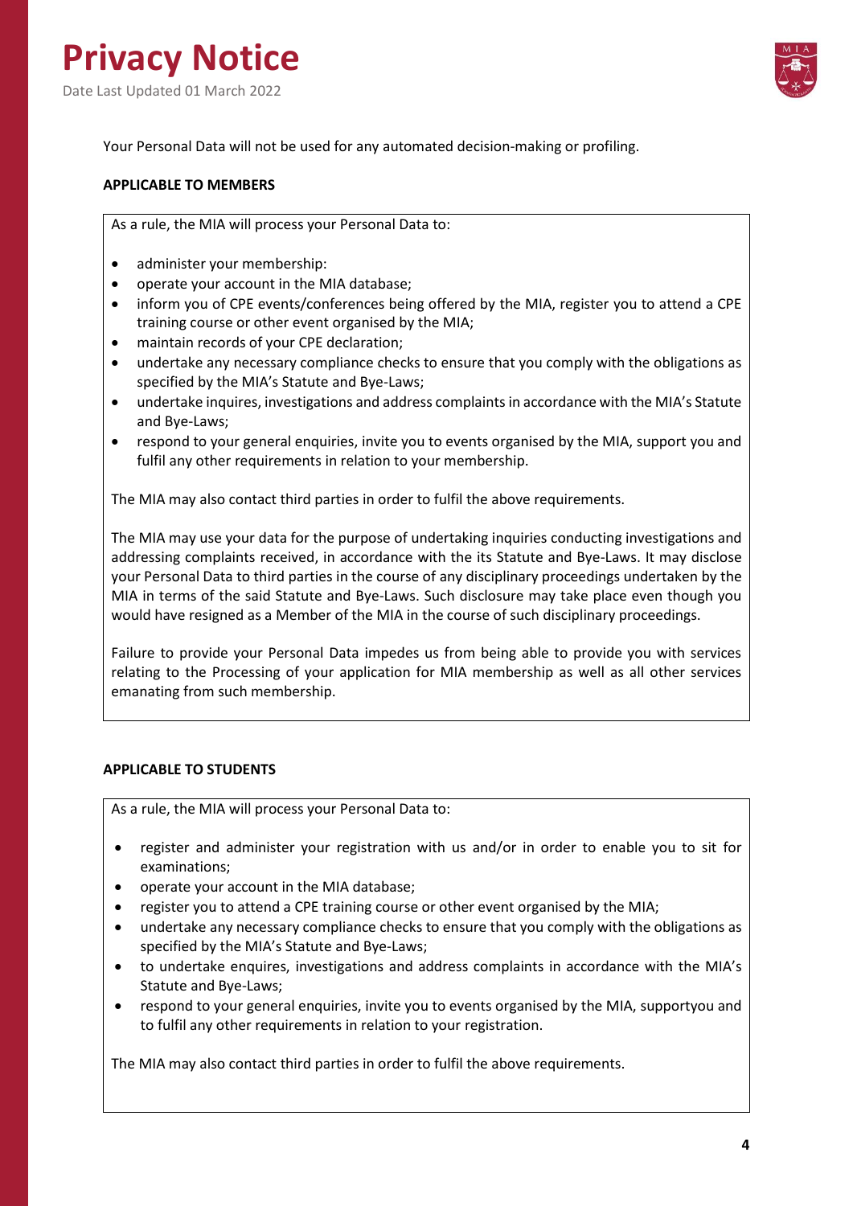Date Last Updated 01 March 2022



Your Personal Data will not be used for any automated decision-making or profiling.

#### **APPLICABLE TO MEMBERS**

As a rule, the MIA will process your Personal Data to:

- administer your membership:
- operate your account in the MIA database;
- inform you of CPE events/conferences being offered by the MIA, register you to attend a CPE training course or other event organised by the MIA;
- maintain records of your CPE declaration;
- undertake any necessary compliance checks to ensure that you comply with the obligations as specified by the MIA's Statute and Bye-Laws;
- undertake inquires, investigations and address complaints in accordance with the MIA's Statute and Bye-Laws;
- respond to your general enquiries, invite you to events organised by the MIA, support you and fulfil any other requirements in relation to your membership.

The MIA may also contact third parties in order to fulfil the above requirements.

The MIA may use your data for the purpose of undertaking inquiries conducting investigations and addressing complaints received, in accordance with the its Statute and Bye-Laws. It may disclose your Personal Data to third parties in the course of any disciplinary proceedings undertaken by the MIA in terms of the said Statute and Bye-Laws. Such disclosure may take place even though you would have resigned as a Member of the MIA in the course of such disciplinary proceedings.

Failure to provide your Personal Data impedes us from being able to provide you with services relating to the Processing of your application for MIA membership as well as all other services emanating from such membership.

### **APPLICABLE TO STUDENTS**

As a rule, the MIA will process your Personal Data to:

- register and administer your registration with us and/or in order to enable you to sit for examinations;
- operate your account in the MIA database;
- register you to attend a CPE training course or other event organised by the MIA;
- undertake any necessary compliance checks to ensure that you comply with the obligations as specified by the MIA's Statute and Bye-Laws;
- to undertake enquires, investigations and address complaints in accordance with the MIA's Statute and Bye-Laws;
- respond to your general enquiries, invite you to events organised by the MIA, supportyou and to fulfil any other requirements in relation to your registration.

The MIA may also contact third parties in order to fulfil the above requirements.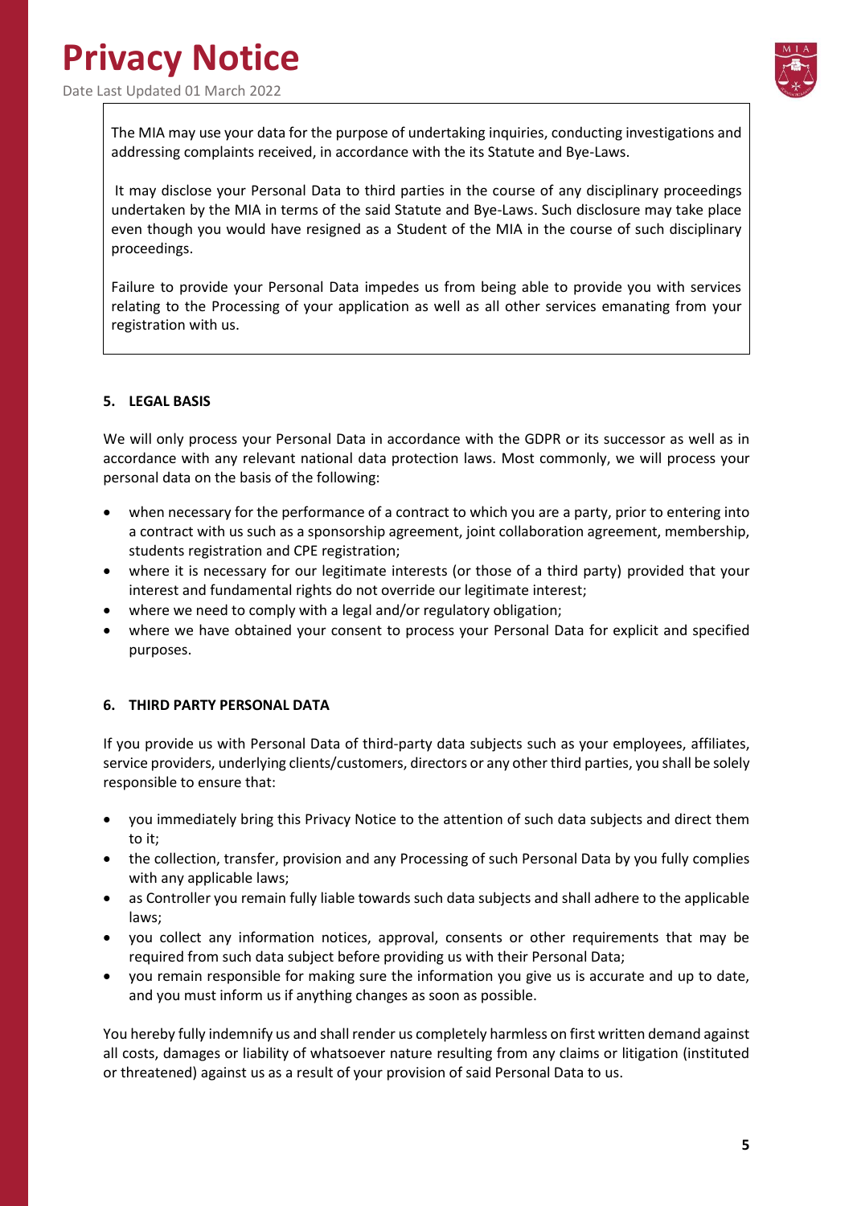Date Last Updated 01 March 2022



The MIA may use your data for the purpose of undertaking inquiries, conducting investigations and addressing complaints received, in accordance with the its Statute and Bye-Laws.

It may disclose your Personal Data to third parties in the course of any disciplinary proceedings undertaken by the MIA in terms of the said Statute and Bye-Laws. Such disclosure may take place even though you would have resigned as a Student of the MIA in the course of such disciplinary proceedings.

Failure to provide your Personal Data impedes us from being able to provide you with services relating to the Processing of your application as well as all other services emanating from your registration with us.

### <span id="page-4-0"></span>**5. LEGAL BASIS**

We will only process your Personal Data in accordance with the GDPR or its successor as well as in accordance with any relevant national data protection laws. Most commonly, we will process your personal data on the basis of the following:

- when necessary for the performance of a contract to which you are a party, prior to entering into a contract with us such as a sponsorship agreement, joint collaboration agreement, membership, students registration and CPE registration;
- where it is necessary for our legitimate interests (or those of a third party) provided that your interest and fundamental rights do not override our legitimate interest;
- where we need to comply with a legal and/or regulatory obligation;
- where we have obtained your consent to process your Personal Data for explicit and specified purposes.

### <span id="page-4-1"></span>**6. THIRD PARTY PERSONAL DATA**

If you provide us with Personal Data of third-party data subjects such as your employees, affiliates, service providers, underlying clients/customers, directors or any other third parties, you shall be solely responsible to ensure that:

- you immediately bring this Privacy Notice to the attention of such data subjects and direct them to it;
- the collection, transfer, provision and any Processing of such Personal Data by you fully complies with any applicable laws;
- as Controller you remain fully liable towards such data subjects and shall adhere to the applicable laws;
- you collect any information notices, approval, consents or other requirements that may be required from such data subject before providing us with their Personal Data;
- you remain responsible for making sure the information you give us is accurate and up to date, and you must inform us if anything changes as soon as possible.

You hereby fully indemnify us and shall render us completely harmless on first written demand against all costs, damages or liability of whatsoever nature resulting from any claims or litigation (instituted or threatened) against us as a result of your provision of said Personal Data to us.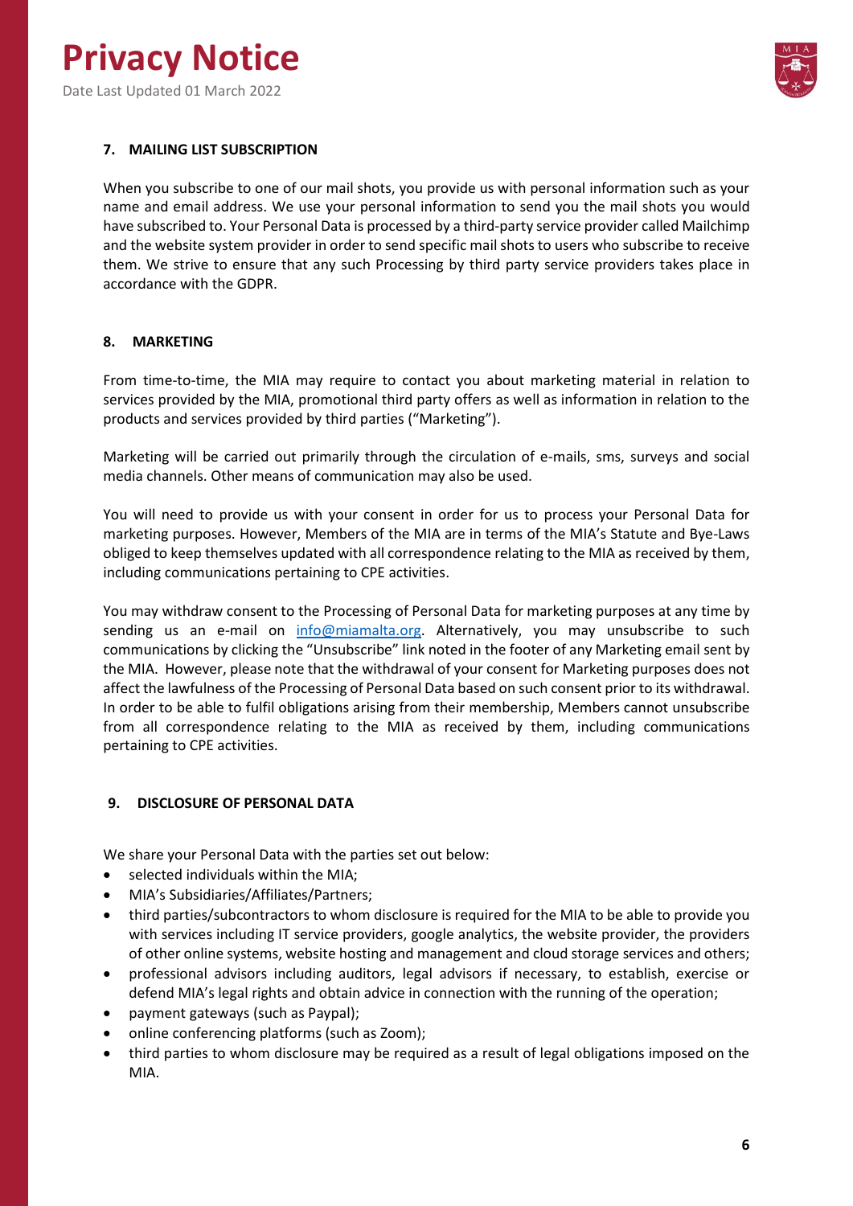Date Last Updated 01 March 2022



### <span id="page-5-0"></span>**7. MAILING LIST SUBSCRIPTION**

When you subscribe to one of our mail shots, you provide us with personal information such as your name and email address. We use your personal information to send you the mail shots you would have subscribed to. Your Personal Data is processed by a third-party service provider called Mailchimp and the website system provider in order to send specific mail shots to users who subscribe to receive them. We strive to ensure that any such Processing by third party service providers takes place in accordance with the GDPR.

### <span id="page-5-1"></span>**8. MARKETING**

From time-to-time, the MIA may require to contact you about marketing material in relation to services provided by the MIA, promotional third party offers as well as information in relation to the products and services provided by third parties ("Marketing").

Marketing will be carried out primarily through the circulation of e-mails, sms, surveys and social media channels. Other means of communication may also be used.

You will need to provide us with your consent in order for us to process your Personal Data for marketing purposes. However, Members of the MIA are in terms of the MIA's Statute and Bye-Laws obliged to keep themselves updated with all correspondence relating to the MIA as received by them, including communications pertaining to CPE activities.

You may withdraw consent to the Processing of Personal Data for marketing purposes at any time by sending us an e-mail on [info@miamalta.org.](mailto:info@miamalta.org) Alternatively, you may unsubscribe to such communications by clicking the "Unsubscribe" link noted in the footer of any Marketing email sent by the MIA. However, please note that the withdrawal of your consent for Marketing purposes does not affect the lawfulness of the Processing of Personal Data based on such consent prior to its withdrawal. In order to be able to fulfil obligations arising from their membership, Members cannot unsubscribe from all correspondence relating to the MIA as received by them, including communications pertaining to CPE activities.

### <span id="page-5-2"></span>**9. DISCLOSURE OF PERSONAL DATA**

We share your Personal Data with the parties set out below:

- selected individuals within the MIA:
- MIA's Subsidiaries/Affiliates/Partners;
- third parties/subcontractors to whom disclosure is required for the MIA to be able to provide you with services including IT service providers, google analytics, the website provider, the providers of other online systems, website hosting and management and cloud storage services and others;
- professional advisors including auditors, legal advisors if necessary, to establish, exercise or defend MIA's legal rights and obtain advice in connection with the running of the operation;
- payment gateways (such as Paypal);
- online conferencing platforms (such as Zoom);
- third parties to whom disclosure may be required as a result of legal obligations imposed on the MIA.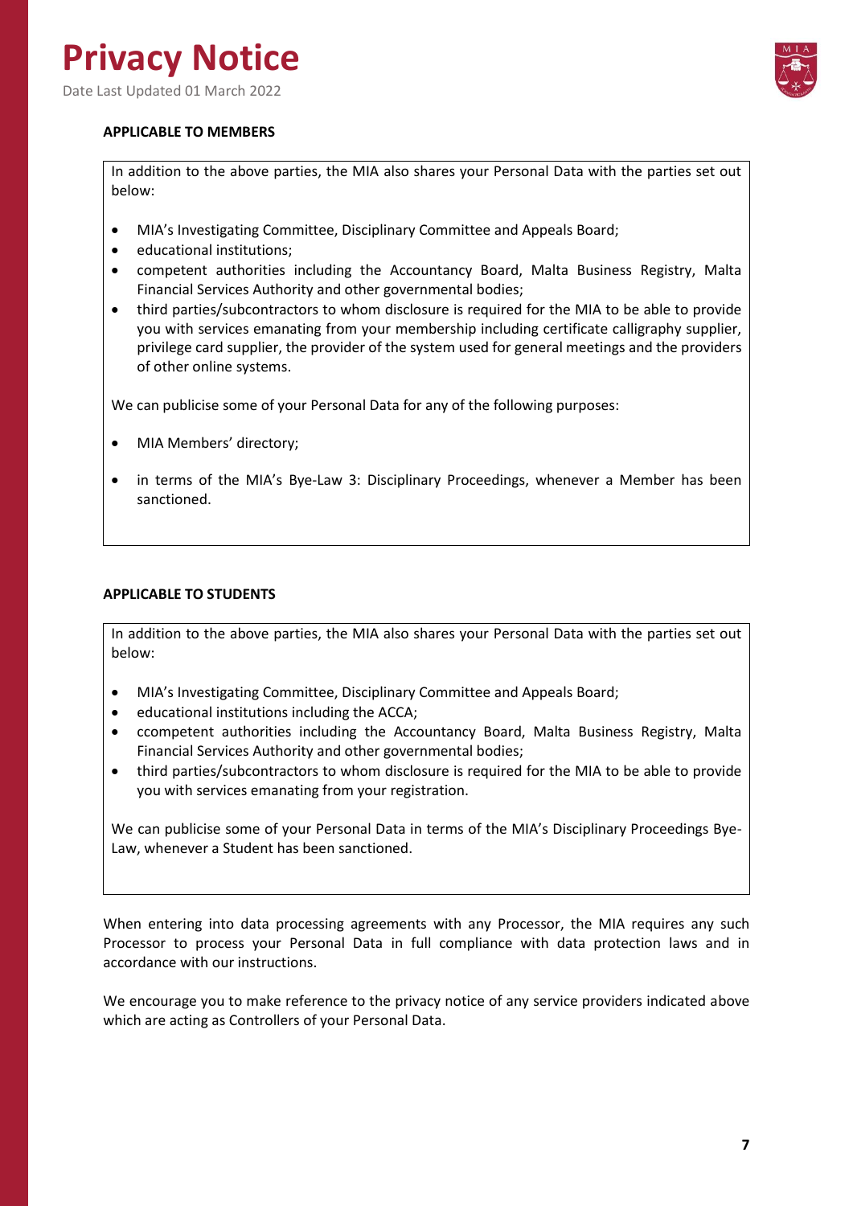Date Last Updated 01 March 2022



### **APPLICABLE TO MEMBERS**

In addition to the above parties, the MIA also shares your Personal Data with the parties set out below:

- MIA's Investigating Committee, Disciplinary Committee and Appeals Board;
- educational institutions;
- competent authorities including the Accountancy Board, Malta Business Registry, Malta Financial Services Authority and other governmental bodies;
- third parties/subcontractors to whom disclosure is required for the MIA to be able to provide you with services emanating from your membership including certificate calligraphy supplier, privilege card supplier, the provider of the system used for general meetings and the providers of other online systems.

We can publicise some of your Personal Data for any of the following purposes:

- MIA Members' directory;
- in terms of the MIA's Bye-Law 3: Disciplinary Proceedings, whenever a Member has been sanctioned.

#### **APPLICABLE TO STUDENTS**

In addition to the above parties, the MIA also shares your Personal Data with the parties set out below:

- MIA's Investigating Committee, Disciplinary Committee and Appeals Board;
- educational institutions including the ACCA;
- ccompetent authorities including the Accountancy Board, Malta Business Registry, Malta Financial Services Authority and other governmental bodies;
- third parties/subcontractors to whom disclosure is required for the MIA to be able to provide you with services emanating from your registration.

We can publicise some of your Personal Data in terms of the MIA's Disciplinary Proceedings Bye-Law, whenever a Student has been sanctioned.

When entering into data processing agreements with any Processor, the MIA requires any such Processor to process your Personal Data in full compliance with data protection laws and in accordance with our instructions.

We encourage you to make reference to the privacy notice of any service providers indicated above which are acting as Controllers of your Personal Data.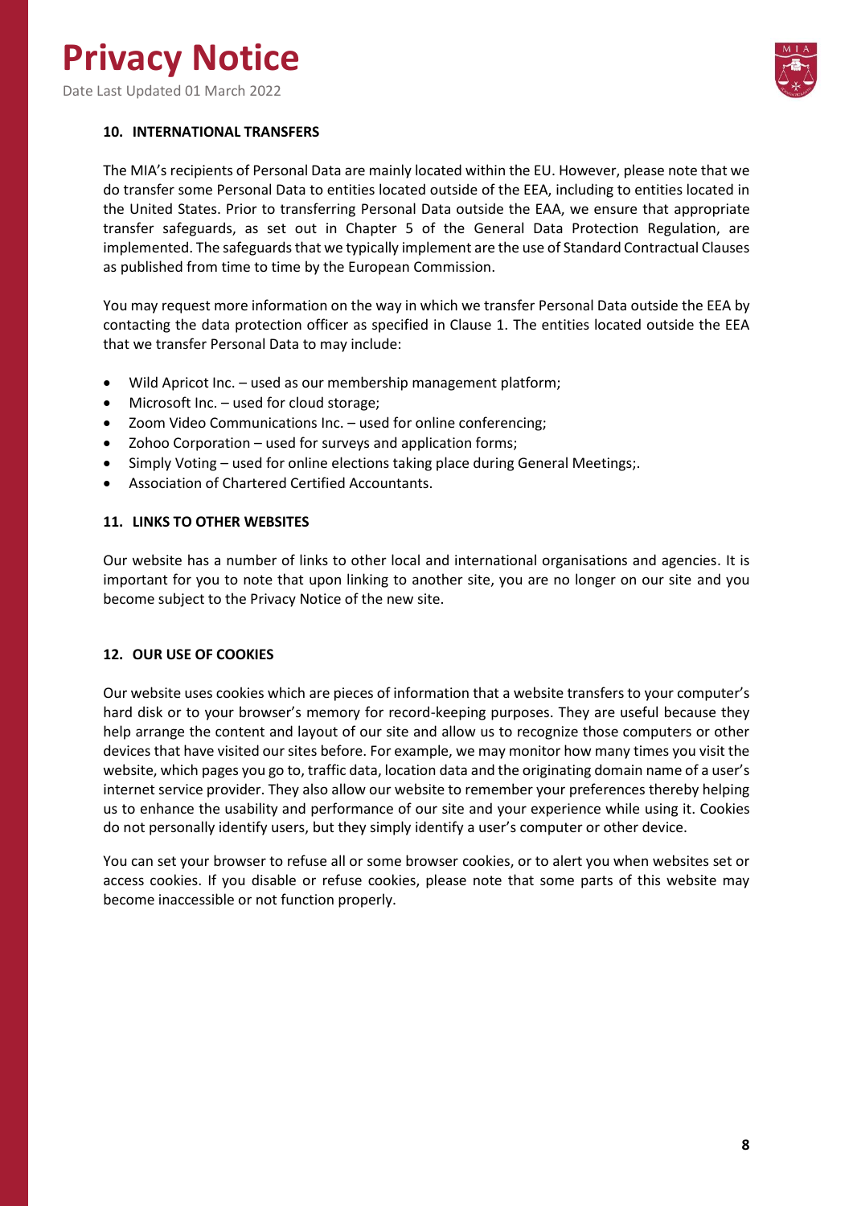Date Last Updated 01 March 2022



### <span id="page-7-0"></span>**10. INTERNATIONAL TRANSFERS**

The MIA's recipients of Personal Data are mainly located within the EU. However, please note that we do transfer some Personal Data to entities located outside of the EEA, including to entities located in the United States. Prior to transferring Personal Data outside the EAA, we ensure that appropriate transfer safeguards, as set out in Chapter 5 of the General Data Protection Regulation, are implemented. The safeguards that we typically implement are the use of Standard Contractual Clauses as published from time to time by the European Commission.

You may request more information on the way in which we transfer Personal Data outside the EEA by contacting the data protection officer as specified in Clause 1. The entities located outside the EEA that we transfer Personal Data to may include:

- Wild Apricot Inc. used as our membership management platform;
- Microsoft Inc. used for cloud storage;
- Zoom Video Communications Inc. used for online conferencing;
- Zohoo Corporation used for surveys and application forms;
- Simply Voting used for online elections taking place during General Meetings;.
- Association of Chartered Certified Accountants.

### <span id="page-7-1"></span>**11. LINKS TO OTHER WEBSITES**

Our website has a number of links to other local and international organisations and agencies. It is important for you to note that upon linking to another site, you are no longer on our site and you become subject to the Privacy Notice of the new site.

### <span id="page-7-2"></span>**12. OUR USE OF COOKIES**

Our website uses cookies which are pieces of information that a website transfers to your computer's hard disk or to your browser's memory for record-keeping purposes. They are useful because they help arrange the content and layout of our site and allow us to recognize those computers or other devices that have visited our sites before. For example, we may monitor how many times you visit the website, which pages you go to, traffic data, location data and the originating domain name of a user's internet service provider. They also allow our website to remember your preferences thereby helping us to enhance the usability and performance of our site and your experience while using it. Cookies do not personally identify users, but they simply identify a user's computer or other device.

You can set your browser to refuse all or some browser cookies, or to alert you when websites set or access cookies. If you disable or refuse cookies, please note that some parts of this website may become inaccessible or not function properly.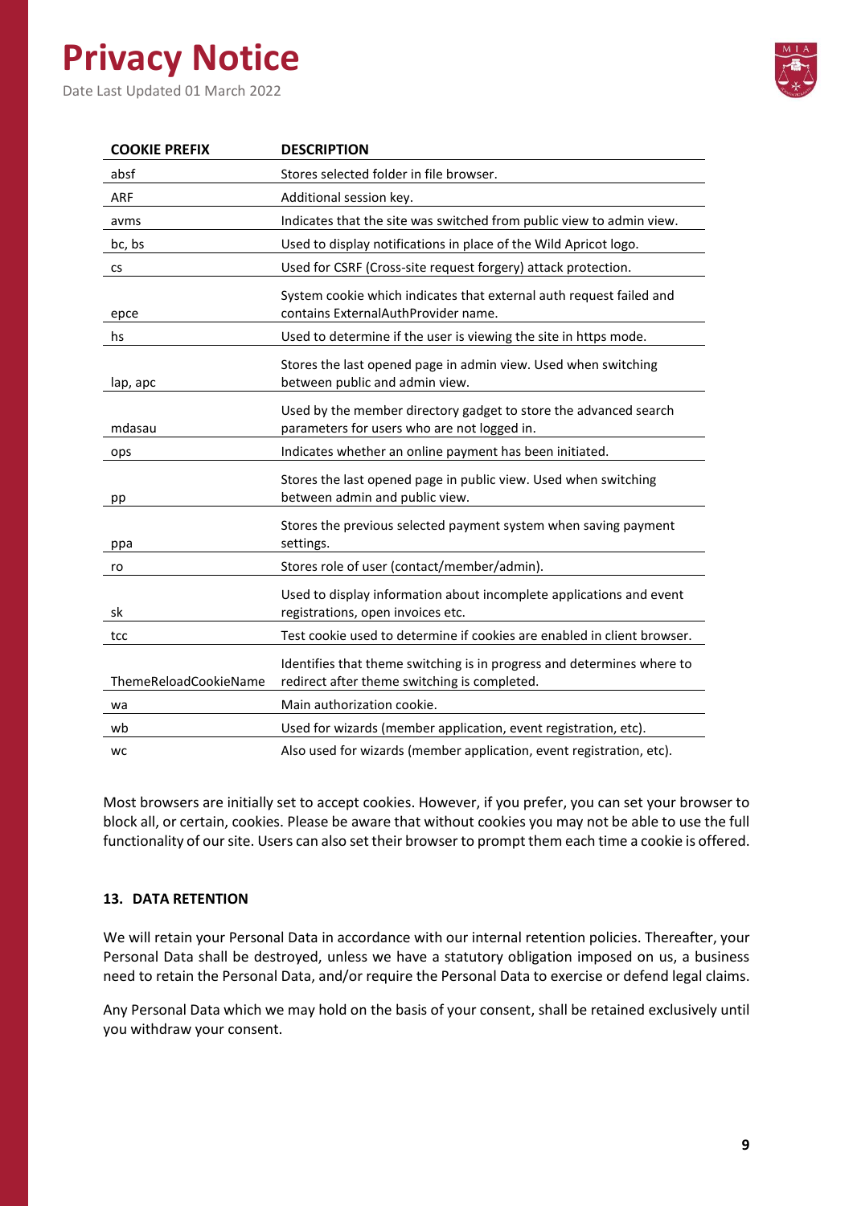Date Last Updated 01 March 2022



| <b>COOKIE PREFIX</b>  | <b>DESCRIPTION</b>                                                                                                     |
|-----------------------|------------------------------------------------------------------------------------------------------------------------|
| absf                  | Stores selected folder in file browser.                                                                                |
| ARF                   | Additional session key.                                                                                                |
| avms                  | Indicates that the site was switched from public view to admin view.                                                   |
| bc, bs                | Used to display notifications in place of the Wild Apricot logo.                                                       |
| СS                    | Used for CSRF (Cross-site request forgery) attack protection.                                                          |
| epce                  | System cookie which indicates that external auth request failed and<br>contains ExternalAuthProvider name.             |
| hs                    | Used to determine if the user is viewing the site in https mode.                                                       |
| lap, apc              | Stores the last opened page in admin view. Used when switching<br>between public and admin view.                       |
| mdasau                | Used by the member directory gadget to store the advanced search<br>parameters for users who are not logged in.        |
| ops                   | Indicates whether an online payment has been initiated.                                                                |
| pp                    | Stores the last opened page in public view. Used when switching<br>between admin and public view.                      |
| ppa                   | Stores the previous selected payment system when saving payment<br>settings.                                           |
| ro                    | Stores role of user (contact/member/admin).                                                                            |
| sk                    | Used to display information about incomplete applications and event<br>registrations, open invoices etc.               |
| tcc                   | Test cookie used to determine if cookies are enabled in client browser.                                                |
| ThemeReloadCookieName | Identifies that theme switching is in progress and determines where to<br>redirect after theme switching is completed. |
| wa                    | Main authorization cookie.                                                                                             |
| wb                    | Used for wizards (member application, event registration, etc).                                                        |
| wc                    | Also used for wizards (member application, event registration, etc).                                                   |

Most browsers are initially set to accept cookies. However, if you prefer, you can set your browser to block all, or certain, cookies. Please be aware that without cookies you may not be able to use the full functionality of our site. Users can also set their browser to prompt them each time a cookie is offered.

### <span id="page-8-0"></span>**13. DATA RETENTION**

We will retain your Personal Data in accordance with our internal retention policies. Thereafter, your Personal Data shall be destroyed, unless we have a statutory obligation imposed on us, a business need to retain the Personal Data, and/or require the Personal Data to exercise or defend legal claims.

Any Personal Data which we may hold on the basis of your consent, shall be retained exclusively until you withdraw your consent.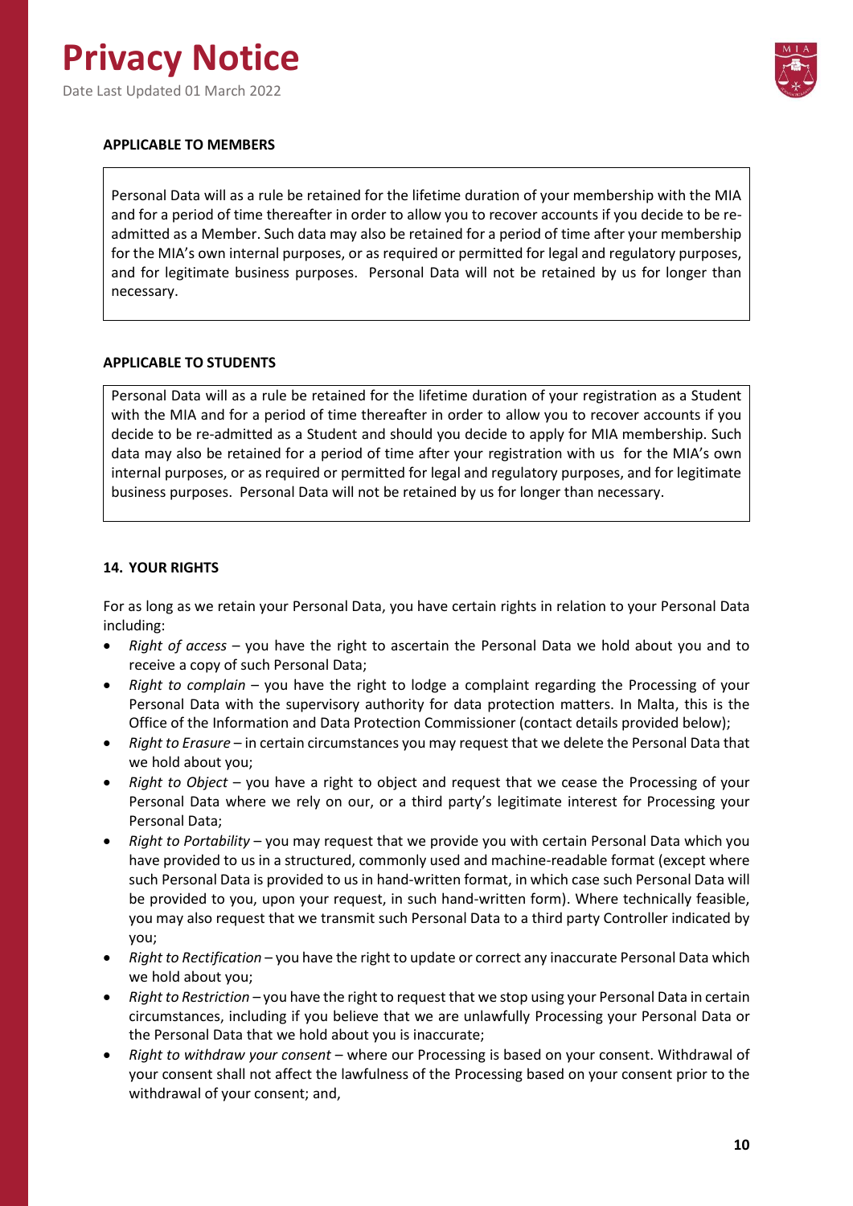

### **APPLICABLE TO MEMBERS**

Personal Data will as a rule be retained for the lifetime duration of your membership with the MIA and for a period of time thereafter in order to allow you to recover accounts if you decide to be readmitted as a Member. Such data may also be retained for a period of time after your membership for the MIA's own internal purposes, or as required or permitted for legal and regulatory purposes, and for legitimate business purposes. Personal Data will not be retained by us for longer than necessary.

### **APPLICABLE TO STUDENTS**

Personal Data will as a rule be retained for the lifetime duration of your registration as a Student with the MIA and for a period of time thereafter in order to allow you to recover accounts if you decide to be re-admitted as a Student and should you decide to apply for MIA membership. Such data may also be retained for a period of time after your registration with us for the MIA's own internal purposes, or as required or permitted for legal and regulatory purposes, and for legitimate business purposes. Personal Data will not be retained by us for longer than necessary.

### <span id="page-9-0"></span>**14. YOUR RIGHTS**

For as long as we retain your Personal Data, you have certain rights in relation to your Personal Data including:

- *Right of access* you have the right to ascertain the Personal Data we hold about you and to receive a copy of such Personal Data;
- *Right to complain* you have the right to lodge a complaint regarding the Processing of your Personal Data with the supervisory authority for data protection matters. In Malta, this is the Office of the Information and Data Protection Commissioner (contact details provided below);
- *Right to Erasure* in certain circumstances you may request that we delete the Personal Data that we hold about you;
- *Right to Object* you have a right to object and request that we cease the Processing of your Personal Data where we rely on our, or a third party's legitimate interest for Processing your Personal Data;
- *Right to Portability* you may request that we provide you with certain Personal Data which you have provided to us in a structured, commonly used and machine-readable format (except where such Personal Data is provided to us in hand-written format, in which case such Personal Data will be provided to you, upon your request, in such hand-written form). Where technically feasible, you may also request that we transmit such Personal Data to a third party Controller indicated by you;
- *Right to Rectification* you have the right to update or correct any inaccurate Personal Data which we hold about you;
- Right to Restriction you have the right to request that we stop using your Personal Data in certain circumstances, including if you believe that we are unlawfully Processing your Personal Data or the Personal Data that we hold about you is inaccurate;
- *Right to withdraw your consent* where our Processing is based on your consent. Withdrawal of your consent shall not affect the lawfulness of the Processing based on your consent prior to the withdrawal of your consent; and,